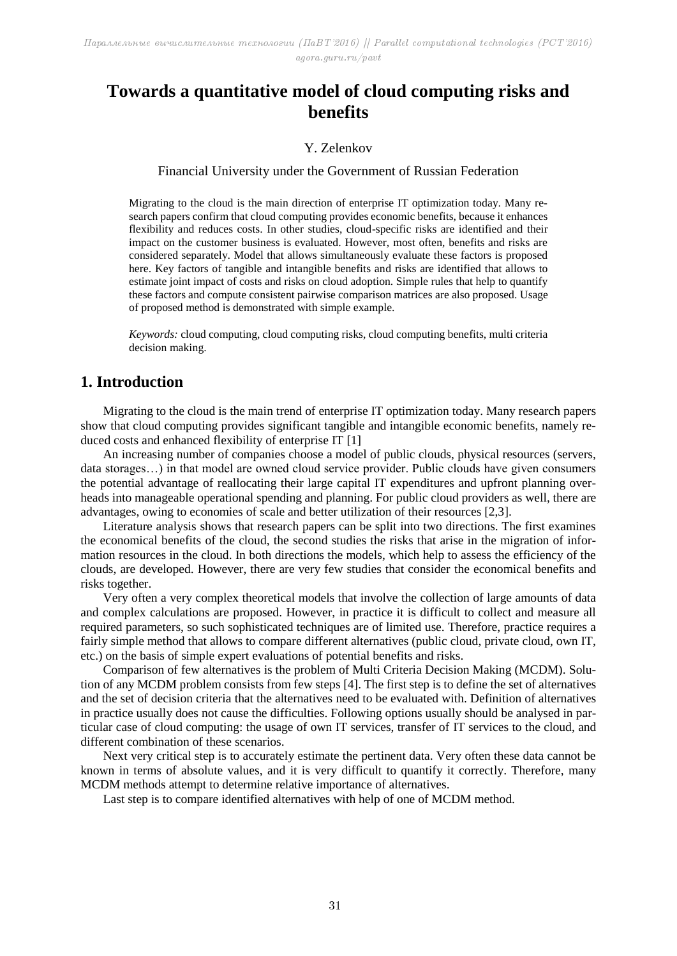# **Towards a quantitative model of cloud computing risks and benefits**

### Y. Zelenkov

#### Financial University under the Government of Russian Federation

Migrating to the cloud is the main direction of enterprise IT optimization today. Many research papers confirm that cloud computing provides economic benefits, because it enhances flexibility and reduces costs. In other studies, cloud-specific risks are identified and their impact on the customer business is evaluated. However, most often, benefits and risks are considered separately. Model that allows simultaneously evaluate these factors is proposed here. Key factors of tangible and intangible benefits and risks are identified that allows to estimate joint impact of costs and risks on cloud adoption. Simple rules that help to quantify these factors and compute consistent pairwise comparison matrices are also proposed. Usage of proposed method is demonstrated with simple example.

*Keywords:* cloud computing, cloud computing risks, cloud computing benefits, multi criteria decision making.

# **1. Introduction**

Migrating to the cloud is the main trend of enterprise IT optimization today. Many research papers show that cloud computing provides significant tangible and intangible economic benefits, namely reduced costs and enhanced flexibility of enterprise IT [1]

An increasing number of companies choose a model of public clouds, physical resources (servers, data storages…) in that model are owned cloud service provider. Public clouds have given consumers the potential advantage of reallocating their large capital IT expenditures and upfront planning overheads into manageable operational spending and planning. For public cloud providers as well, there are advantages, owing to economies of scale and better utilization of their resources [2,3].

Literature analysis shows that research papers can be split into two directions. The first examines the economical benefits of the cloud, the second studies the risks that arise in the migration of information resources in the cloud. In both directions the models, which help to assess the efficiency of the clouds, are developed. However, there are very few studies that consider the economical benefits and risks together.

Very often a very complex theoretical models that involve the collection of large amounts of data and complex calculations are proposed. However, in practice it is difficult to collect and measure all required parameters, so such sophisticated techniques are of limited use. Therefore, practice requires a fairly simple method that allows to compare different alternatives (public cloud, private cloud, own IT, etc.) on the basis of simple expert evaluations of potential benefits and risks.

Comparison of few alternatives is the problem of Multi Criteria Decision Making (MCDM). Solution of any MCDM problem consists from few steps [4]. The first step is to define the set of alternatives and the set of decision criteria that the alternatives need to be evaluated with. Definition of alternatives in practice usually does not cause the difficulties. Following options usually should be analysed in particular case of cloud computing: the usage of own IT services, transfer of IT services to the cloud, and different combination of these scenarios.

Next very critical step is to accurately estimate the pertinent data. Very often these data cannot be known in terms of absolute values, and it is very difficult to quantify it correctly. Therefore, many MCDM methods attempt to determine relative importance of alternatives.

Last step is to compare identified alternatives with help of one of MCDM method.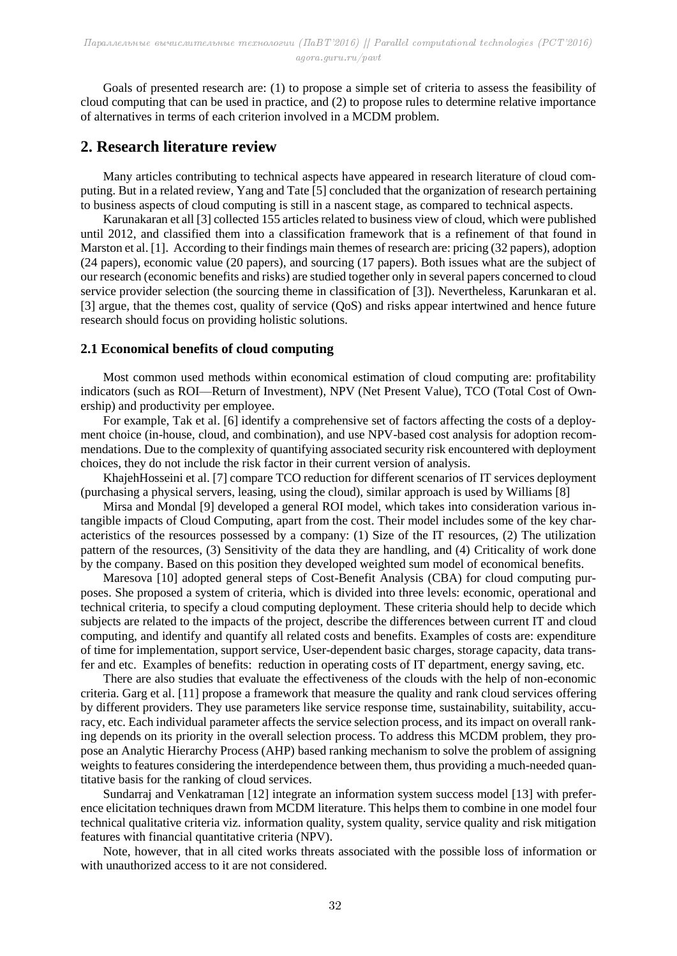Goals of presented research are: (1) to propose a simple set of criteria to assess the feasibility of cloud computing that can be used in practice, and (2) to propose rules to determine relative importance of alternatives in terms of each criterion involved in a MCDM problem.

# **2. Research literature review**

Many articles contributing to technical aspects have appeared in research literature of cloud computing. But in a related review, Yang and Tate [5] concluded that the organization of research pertaining to business aspects of cloud computing is still in a nascent stage, as compared to technical aspects.

Karunakaran et all [3] collected 155 articles related to business view of cloud, which were published until 2012, and classified them into a classification framework that is a refinement of that found in Marston et al. [1]. According to their findings main themes of research are: pricing (32 papers), adoption (24 papers), economic value (20 papers), and sourcing (17 papers). Both issues what are the subject of our research (economic benefits and risks) are studied together only in several papers concerned to cloud service provider selection (the sourcing theme in classification of [3]). Nevertheless, Karunkaran et al. [3] argue, that the themes cost, quality of service (QoS) and risks appear intertwined and hence future research should focus on providing holistic solutions.

### **2.1 Economical benefits of cloud computing**

Most common used methods within economical estimation of cloud computing are: profitability indicators (such as ROI—Return of Investment), NPV (Net Present Value), TCO (Total Cost of Ownership) and productivity per employee.

For example, Tak et al. [6] identify a comprehensive set of factors affecting the costs of a deployment choice (in-house, cloud, and combination), and use NPV-based cost analysis for adoption recommendations. Due to the complexity of quantifying associated security risk encountered with deployment choices, they do not include the risk factor in their current version of analysis.

KhajehHosseini et al. [7] compare TCO reduction for different scenarios of IT services deployment (purchasing a physical servers, leasing, using the cloud), similar approach is used by Williams [8]

Mirsa and Mondal [9] developed a general ROI model, which takes into consideration various intangible impacts of Cloud Computing, apart from the cost. Their model includes some of the key characteristics of the resources possessed by a company: (1) Size of the IT resources, (2) The utilization pattern of the resources, (3) Sensitivity of the data they are handling, and (4) Criticality of work done by the company. Based on this position they developed weighted sum model of economical benefits.

Maresova [10] adopted general steps of Cost-Benefit Analysis (CBA) for cloud computing purposes. She proposed a system of criteria, which is divided into three levels: economic, operational and technical criteria, to specify a cloud computing deployment. These criteria should help to decide which subjects are related to the impacts of the project, describe the differences between current IT and cloud computing, and identify and quantify all related costs and benefits. Examples of costs are: expenditure of time for implementation, support service, User-dependent basic charges, storage capacity, data transfer and etc. Examples of benefits: reduction in operating costs of IT department, energy saving, etc.

There are also studies that evaluate the effectiveness of the clouds with the help of non-economic criteria. Garg et al. [11] propose a framework that measure the quality and rank cloud services offering by different providers. They use parameters like service response time, sustainability, suitability, accuracy, etc. Each individual parameter affects the service selection process, and its impact on overall ranking depends on its priority in the overall selection process. To address this MCDM problem, they propose an Analytic Hierarchy Process (AHP) based ranking mechanism to solve the problem of assigning weights to features considering the interdependence between them, thus providing a much-needed quantitative basis for the ranking of cloud services.

Sundarraj and Venkatraman [12] integrate an information system success model [13] with preference elicitation techniques drawn from MCDM literature. This helps them to combine in one model four technical qualitative criteria viz. information quality, system quality, service quality and risk mitigation features with financial quantitative criteria (NPV).

Note, however, that in all cited works threats associated with the possible loss of information or with unauthorized access to it are not considered.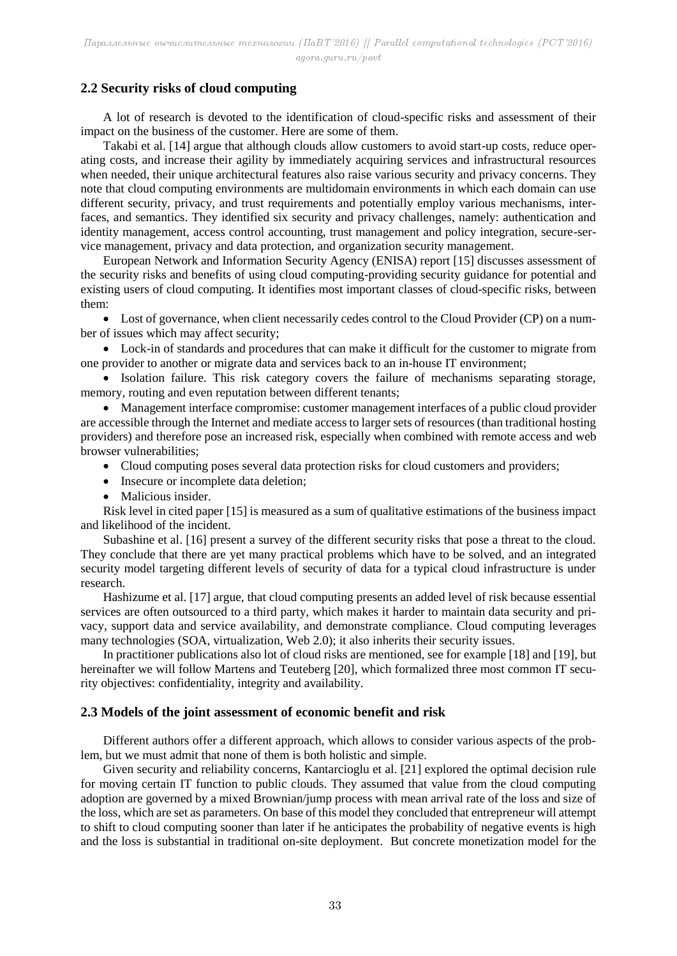## **2.2 Security risks of cloud computing**

A lot of research is devoted to the identification of cloud-specific risks and assessment of their impact on the business of the customer. Here are some of them.

Takabi et al. [14] argue that although clouds allow customers to avoid start-up costs, reduce operating costs, and increase their agility by immediately acquiring services and infrastructural resources when needed, their unique architectural features also raise various security and privacy concerns. They note that cloud computing environments are multidomain environments in which each domain can use different security, privacy, and trust requirements and potentially employ various mechanisms, interfaces, and semantics. They identified six security and privacy challenges, namely: authentication and identity management, access control accounting, trust management and policy integration, secure-service management, privacy and data protection, and organization security management.

European Network and Information Security Agency (ENISA) report [15] discusses assessment of the security risks and benefits of using cloud computing-providing security guidance for potential and existing users of cloud computing. It identifies most important classes of cloud-specific risks, between them:

 Lost of governance, when client necessarily cedes control to the Cloud Provider (CP) on a number of issues which may affect security;

 Lock-in of standards and procedures that can make it difficult for the customer to migrate from one provider to another or migrate data and services back to an in-house IT environment;

• Isolation failure. This risk category covers the failure of mechanisms separating storage, memory, routing and even reputation between different tenants;

 Management interface compromise: customer management interfaces of a public cloud provider are accessible through the Internet and mediate access to larger sets of resources (than traditional hosting providers) and therefore pose an increased risk, especially when combined with remote access and web browser vulnerabilities;

- Cloud computing poses several data protection risks for cloud customers and providers;
- Insecure or incomplete data deletion;
- Malicious insider.

Risk level in cited paper [15] is measured as a sum of qualitative estimations of the business impact and likelihood of the incident.

Subashine et al. [16] present a survey of the different security risks that pose a threat to the cloud. They conclude that there are yet many practical problems which have to be solved, and an integrated security model targeting different levels of security of data for a typical cloud infrastructure is under research.

Hashizume et al. [17] argue, that cloud computing presents an added level of risk because essential services are often outsourced to a third party, which makes it harder to maintain data security and privacy, support data and service availability, and demonstrate compliance. Cloud computing leverages many technologies (SOA, virtualization, Web 2.0); it also inherits their security issues.

In practitioner publications also lot of cloud risks are mentioned, see for example [18] and [19], but hereinafter we will follow Martens and Teuteberg [20], which formalized three most common IT security objectives: confidentiality, integrity and availability.

#### **2.3 Models of the joint assessment of economic benefit and risk**

Different authors offer a different approach, which allows to consider various aspects of the problem, but we must admit that none of them is both holistic and simple.

Given security and reliability concerns, Kantarcioglu et al. [21] explored the optimal decision rule for moving certain IT function to public clouds. They assumed that value from the cloud computing adoption are governed by a mixed Brownian/jump process with mean arrival rate of the loss and size of the loss, which are set as parameters. On base of this model they concluded that entrepreneur will attempt to shift to cloud computing sooner than later if he anticipates the probability of negative events is high and the loss is substantial in traditional on-site deployment. But concrete monetization model for the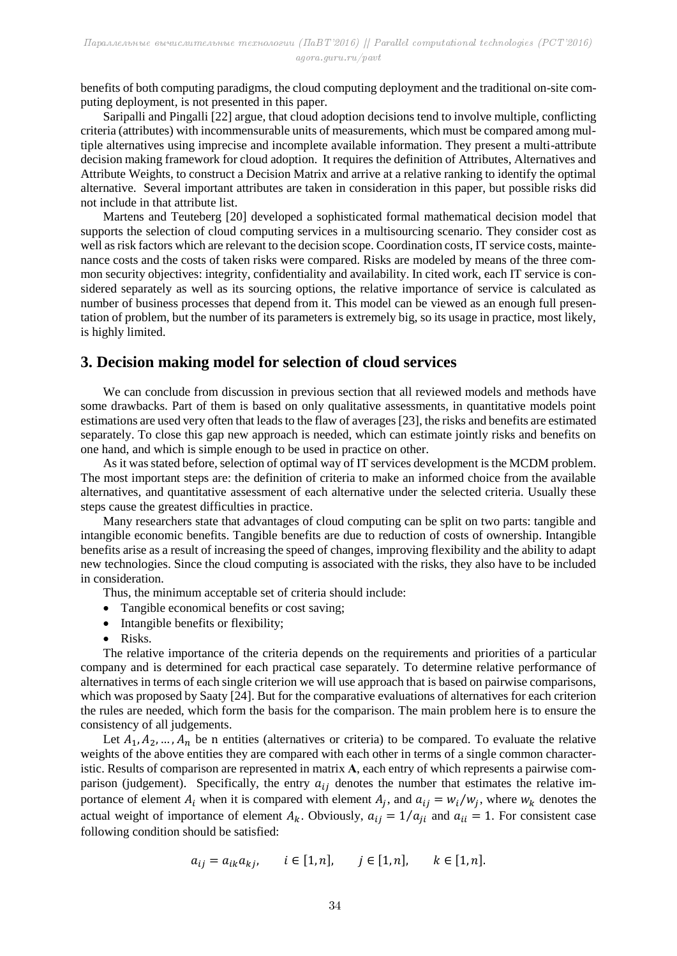benefits of both computing paradigms, the cloud computing deployment and the traditional on-site computing deployment, is not presented in this paper.

Saripalli and Pingalli [22] argue, that cloud adoption decisions tend to involve multiple, conflicting criteria (attributes) with incommensurable units of measurements, which must be compared among multiple alternatives using imprecise and incomplete available information. They present a multi-attribute decision making framework for cloud adoption. It requires the definition of Attributes, Alternatives and Attribute Weights, to construct a Decision Matrix and arrive at a relative ranking to identify the optimal alternative. Several important attributes are taken in consideration in this paper, but possible risks did not include in that attribute list.

Martens and Teuteberg [20] developed a sophisticated formal mathematical decision model that supports the selection of cloud computing services in a multisourcing scenario. They consider cost as well as risk factors which are relevant to the decision scope. Coordination costs, IT service costs, maintenance costs and the costs of taken risks were compared. Risks are modeled by means of the three common security objectives: integrity, confidentiality and availability. In cited work, each IT service is considered separately as well as its sourcing options, the relative importance of service is calculated as number of business processes that depend from it. This model can be viewed as an enough full presentation of problem, but the number of its parameters is extremely big, so its usage in practice, most likely, is highly limited.

## **3. Decision making model for selection of cloud services**

We can conclude from discussion in previous section that all reviewed models and methods have some drawbacks. Part of them is based on only qualitative assessments, in quantitative models point estimations are used very often that leads to the flaw of averages [23], the risks and benefits are estimated separately. To close this gap new approach is needed, which can estimate jointly risks and benefits on one hand, and which is simple enough to be used in practice on other.

As it was stated before, selection of optimal way of IT services development is the MCDM problem. The most important steps are: the definition of criteria to make an informed choice from the available alternatives, and quantitative assessment of each alternative under the selected criteria. Usually these steps cause the greatest difficulties in practice.

Many researchers state that advantages of cloud computing can be split on two parts: tangible and intangible economic benefits. Tangible benefits are due to reduction of costs of ownership. Intangible benefits arise as a result of increasing the speed of changes, improving flexibility and the ability to adapt new technologies. Since the cloud computing is associated with the risks, they also have to be included in consideration.

Thus, the minimum acceptable set of criteria should include:

- Tangible economical benefits or cost saving;
- Intangible benefits or flexibility;
- Risks.

The relative importance of the criteria depends on the requirements and priorities of a particular company and is determined for each practical case separately. To determine relative performance of alternatives in terms of each single criterion we will use approach that is based on pairwise comparisons, which was proposed by Saaty [24]. But for the comparative evaluations of alternatives for each criterion the rules are needed, which form the basis for the comparison. The main problem here is to ensure the consistency of all judgements.

Let  $A_1, A_2, ..., A_n$  be n entities (alternatives or criteria) to be compared. To evaluate the relative weights of the above entities they are compared with each other in terms of a single common characteristic. Results of comparison are represented in matrix **A**, each entry of which represents a pairwise comparison (judgement). Specifically, the entry  $a_{ij}$  denotes the number that estimates the relative importance of element  $A_i$  when it is compared with element  $A_j$ , and  $a_{ij} = w_i/w_j$ , where  $w_k$  denotes the actual weight of importance of element  $A_k$ . Obviously,  $a_{ij} = 1/a_{ji}$  and  $a_{ii} = 1$ . For consistent case following condition should be satisfied:

$$
a_{ij} = a_{ik}a_{kj}, \quad i \in [1, n], \quad j \in [1, n], \quad k \in [1, n].
$$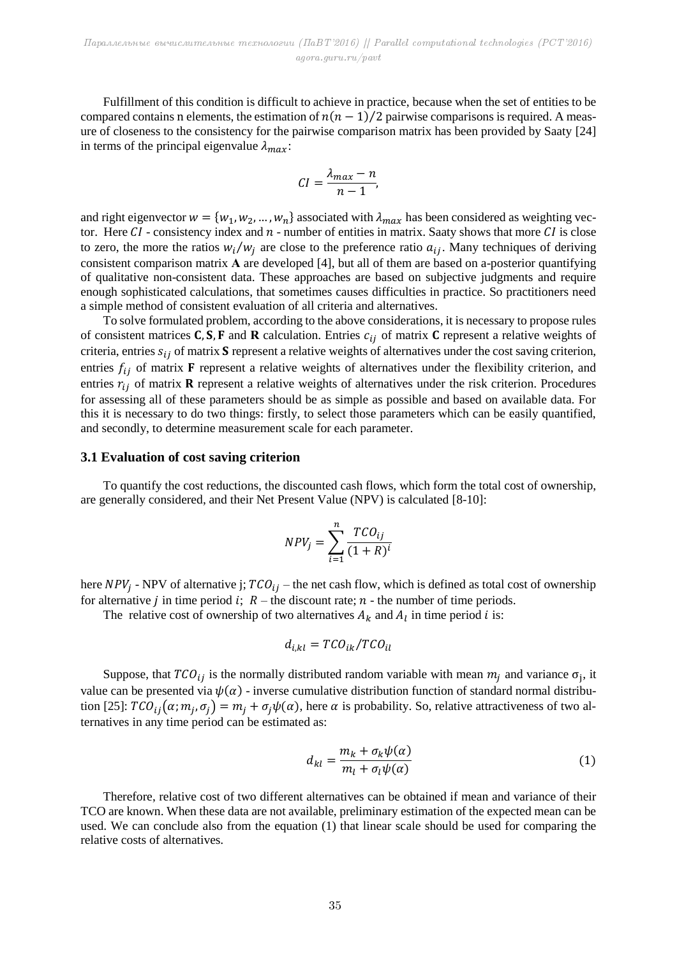Fulfillment of this condition is difficult to achieve in practice, because when the set of entities to be compared contains n elements, the estimation of  $n(n-1)/2$  pairwise comparisons is required. A measure of closeness to the consistency for the pairwise comparison matrix has been provided by Saaty [24] in terms of the principal eigenvalue  $\lambda_{max}$ :

$$
CI = \frac{\lambda_{max} - n}{n - 1},
$$

and right eigenvector  $w = \{w_1, w_2, ..., w_n\}$  associated with  $\lambda_{max}$  has been considered as weighting vector. Here  $CI$  - consistency index and  $n$  - number of entities in matrix. Saaty shows that more  $CI$  is close to zero, the more the ratios  $w_i/w_i$  are close to the preference ratio  $a_{ij}$ . Many techniques of deriving consistent comparison matrix **A** are developed [4], but all of them are based on a-posterior quantifying of qualitative non-consistent data. These approaches are based on subjective judgments and require enough sophisticated calculations, that sometimes causes difficulties in practice. So practitioners need a simple method of consistent evaluation of all criteria and alternatives.

To solve formulated problem, according to the above considerations, it is necessary to propose rules of consistent matrices  $C$ ,  $S$ ,  $F$  and  $R$  calculation. Entries  $c_{ij}$  of matrix  $C$  represent a relative weights of criteria, entries  $s_{ij}$  of matrix **S** represent a relative weights of alternatives under the cost saving criterion, entries  $f_{ij}$  of matrix **F** represent a relative weights of alternatives under the flexibility criterion, and entries  $r_{ij}$  of matrix **R** represent a relative weights of alternatives under the risk criterion. Procedures for assessing all of these parameters should be as simple as possible and based on available data. For this it is necessary to do two things: firstly, to select those parameters which can be easily quantified, and secondly, to determine measurement scale for each parameter.

#### **3.1 Evaluation of cost saving criterion**

To quantify the cost reductions, the discounted cash flows, which form the total cost of ownership, are generally considered, and their Net Present Value (NPV) is calculated [8-10]:

$$
NPV_j = \sum_{i=1}^{n} \frac{TCO_{ij}}{(1+R)^i}
$$

here  $NPV_j$  - NPV of alternative j;  $TCO_{ij}$  – the net cash flow, which is defined as total cost of ownership for alternative *j* in time period *i*;  $R$  – the discount rate;  $n$  - the number of time periods.

The relative cost of ownership of two alternatives  $A_k$  and  $A_l$  in time period *i* is:

$$
d_{i,kl} = TCO_{ik}/TCO_{il}
$$

Suppose, that  $TCO_{ij}$  is the normally distributed random variable with mean  $m_j$  and variance  $\sigma_j$ , it value can be presented via  $\psi(\alpha)$  - inverse cumulative distribution function of standard normal distribution [25]:  $TCO_{ij}(\alpha; m_j, \sigma_j) = m_j + \sigma_j \psi(\alpha)$ , here  $\alpha$  is probability. So, relative attractiveness of two alternatives in any time period can be estimated as:

$$
d_{kl} = \frac{m_k + \sigma_k \psi(\alpha)}{m_l + \sigma_l \psi(\alpha)}\tag{1}
$$

Therefore, relative cost of two different alternatives can be obtained if mean and variance of their TCO are known. When these data are not available, preliminary estimation of the expected mean can be used. We can conclude also from the equation (1) that linear scale should be used for comparing the relative costs of alternatives.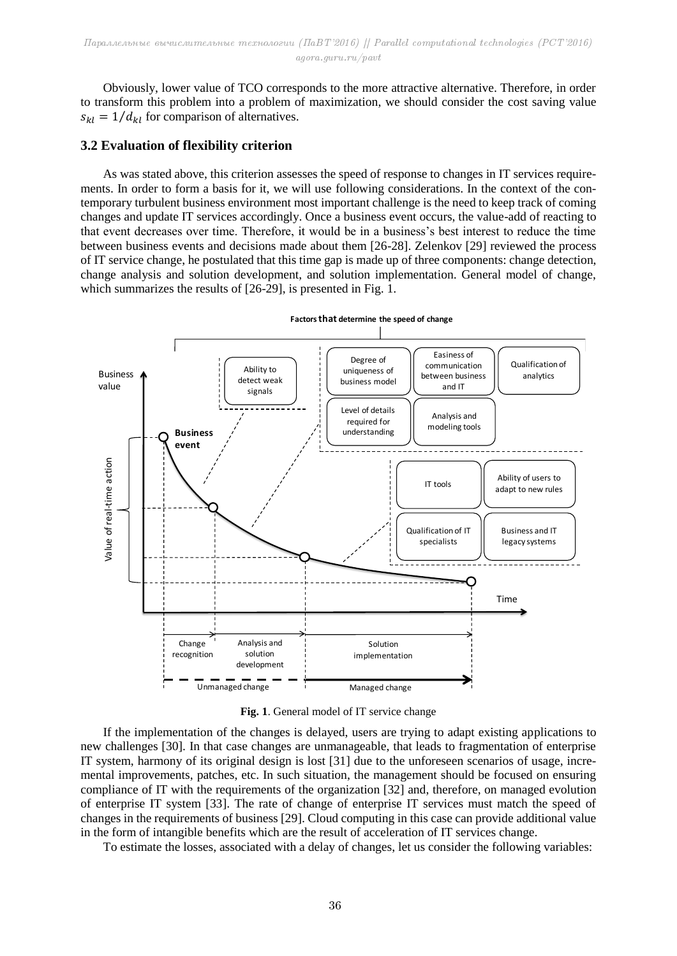Obviously, lower value of TCO corresponds to the more attractive alternative. Therefore, in order to transform this problem into a problem of maximization, we should consider the cost saving value  $s_{kl} = 1/d_{kl}$  for comparison of alternatives.

### **3.2 Evaluation of flexibility criterion**

As was stated above, this criterion assesses the speed of response to changes in IT services requirements. In order to form a basis for it, we will use following considerations. In the context of the contemporary turbulent business environment most important challenge is the need to keep track of coming changes and update IT services accordingly. Once a business event occurs, the value-add of reacting to that event decreases over time. Therefore, it would be in a business's best interest to reduce the time between business events and decisions made about them [26-28]. Zelenkov [29] reviewed the process of IT service change, he postulated that this time gap is made up of three components: change detection, change analysis and solution development, and solution implementation. General model of change, which summarizes the results of [26-29], is presented in Fig. 1.



**Factors that determine the speed of change**

**Fig. 1**. General model of IT service change

If the implementation of the changes is delayed, users are trying to adapt existing applications to new challenges [30]. In that case changes are unmanageable, that leads to fragmentation of enterprise IT system, harmony of its original design is lost [31] due to the unforeseen scenarios of usage, incremental improvements, patches, etc. In such situation, the management should be focused on ensuring compliance of IT with the requirements of the organization [32] and, therefore, on managed evolution of enterprise IT system [33]. The rate of change of enterprise IT services must match the speed of changes in the requirements of business [29]. Cloud computing in this case can provide additional value in the form of intangible benefits which are the result of acceleration of IT services change.

To estimate the losses, associated with a delay of changes, let us consider the following variables: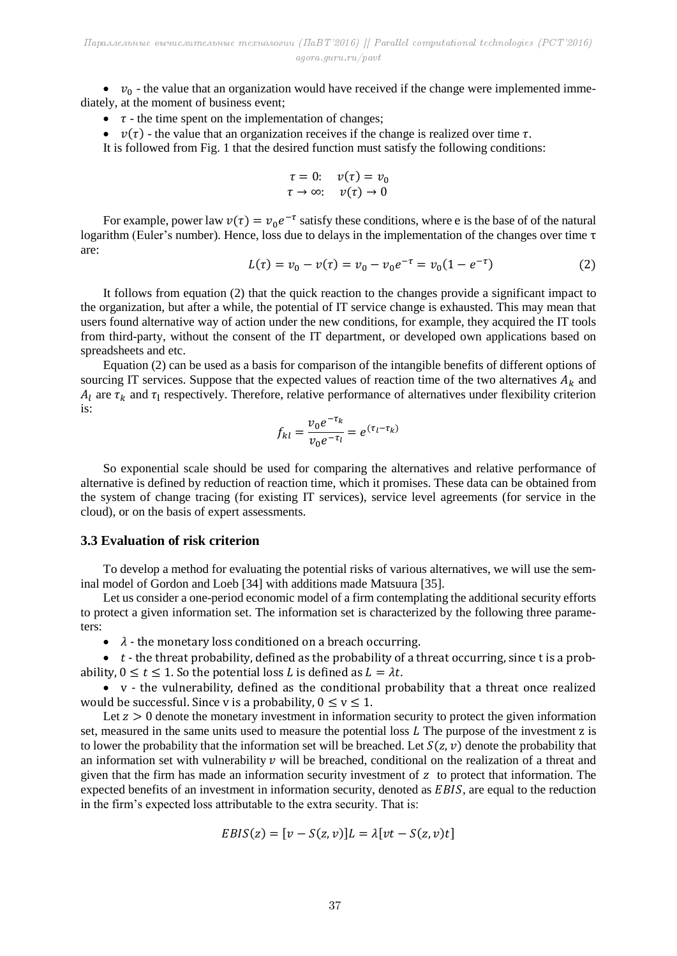$\bullet$   $v_0$  - the value that an organization would have received if the change were implemented immediately, at the moment of business event;

- $\bullet$   $\tau$  the time spent on the implementation of changes;
- $\bullet$   $v(\tau)$  the value that an organization receives if the change is realized over time  $\tau$ .

It is followed from Fig. 1 that the desired function must satisfy the following conditions:

$$
\tau = 0: \quad v(\tau) = v_0
$$
  

$$
\tau \to \infty: \quad v(\tau) \to 0
$$

For example, power law  $v(\tau) = v_0 e^{-\tau}$  satisfy these conditions, where e is the base of of the natural logarithm (Euler's number). Hence, loss due to delays in the implementation of the changes over time τ are:

$$
L(\tau) = v_0 - v(\tau) = v_0 - v_0 e^{-\tau} = v_0 (1 - e^{-\tau})
$$
 (2)

It follows from equation (2) that the quick reaction to the changes provide a significant impact to the organization, but after a while, the potential of IT service change is exhausted. This may mean that users found alternative way of action under the new conditions, for example, they acquired the IT tools from third-party, without the consent of the IT department, or developed own applications based on spreadsheets and etc.

Equation (2) can be used as a basis for comparison of the intangible benefits of different options of sourcing IT services. Suppose that the expected values of reaction time of the two alternatives  $A_k$  and  $A_l$  are  $\tau_k$  and  $\tau_l$  respectively. Therefore, relative performance of alternatives under flexibility criterion is:

$$
f_{kl} = \frac{v_0 e^{-\tau_k}}{v_0 e^{-\tau_l}} = e^{(\tau_l - \tau_k)}
$$

So exponential scale should be used for comparing the alternatives and relative performance of alternative is defined by reduction of reaction time, which it promises. These data can be obtained from the system of change tracing (for existing IT services), service level agreements (for service in the cloud), or on the basis of expert assessments.

#### **3.3 Evaluation of risk criterion**

To develop a method for evaluating the potential risks of various alternatives, we will use the seminal model of Gordon and Loeb [34] with additions made Matsuura [35].

Let us consider a one-period economic model of a firm contemplating the additional security efforts to protect a given information set. The information set is characterized by the following three parameters:

 $\bullet$   $\lambda$  - the monetary loss conditioned on a breach occurring.

 $\bullet$  t - the threat probability, defined as the probability of a threat occurring, since t is a probability,  $0 \le t \le 1$ . So the potential loss L is defined as  $L = \lambda t$ .

 v - the vulnerability, defined as the conditional probability that a threat once realized would be successful. Since v is a probability,  $0 \le v \le 1$ .

Let  $z > 0$  denote the monetary investment in information security to protect the given information set, measured in the same units used to measure the potential loss  $L$ . The purpose of the investment  $z$  is to lower the probability that the information set will be breached. Let  $S(z, v)$  denote the probability that an information set with vulnerability  $\nu$  will be breached, conditional on the realization of a threat and given that the firm has made an information security investment of z to protect that information. The expected benefits of an investment in information security, denoted as  $EBIS$ , are equal to the reduction in the firm's expected loss attributable to the extra security. That is:

$$
EBIS(z) = [v - S(z, v)]L = \lambda [vt - S(z, v)t]
$$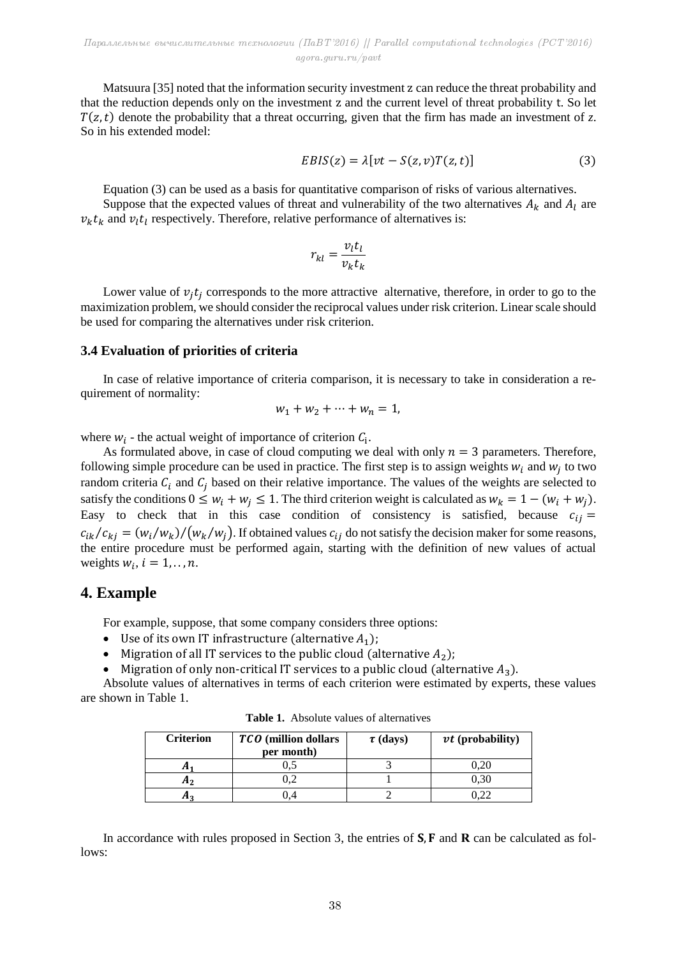Matsuura [35] noted that the information security investment z can reduce the threat probability and that the reduction depends only on the investment z and the current level of threat probability t. So let  $T(z,t)$  denote the probability that a threat occurring, given that the firm has made an investment of z. So in his extended model:

$$
EBIS(z) = \lambda [vt - S(z, v)T(z, t)]
$$
\n(3)

Equation (3) can be used as a basis for quantitative comparison of risks of various alternatives.

Suppose that the expected values of threat and vulnerability of the two alternatives  $A_k$  and  $A_l$  are  $v_k t_k$  and  $v_l t_l$  respectively. Therefore, relative performance of alternatives is:

$$
r_{kl} = \frac{v_l t_l}{v_k t_k}
$$

Lower value of  $v_j t_j$  corresponds to the more attractive alternative, therefore, in order to go to the maximization problem, we should consider the reciprocal values under risk criterion. Linear scale should be used for comparing the alternatives under risk criterion.

### **3.4 Evaluation of priorities of criteria**

In case of relative importance of criteria comparison, it is necessary to take in consideration a requirement of normality:

$$
w_1 + w_2 + \dots + w_n = 1,
$$

where  $w_i$  - the actual weight of importance of criterion  $C_i$ .

As formulated above, in case of cloud computing we deal with only  $n = 3$  parameters. Therefore, following simple procedure can be used in practice. The first step is to assign weights  $w_i$  and  $w_j$  to two random criteria  $C_i$  and  $C_j$  based on their relative importance. The values of the weights are selected to satisfy the conditions  $0 \le w_i + w_j \le 1$ . The third criterion weight is calculated as  $w_k = 1 - (w_i + w_j)$ . Easy to check that in this case condition of consistency is satisfied, because  $c_{ij} =$  $c_{ik}/c_{ki} = (w_i/w_k)/(w_k/w_i)$ . If obtained values  $c_{ij}$  do not satisfy the decision maker for some reasons, the entire procedure must be performed again, starting with the definition of new values of actual weights  $w_i$ ,  $i = 1, \ldots, n$ .

# **4. Example**

For example, suppose, that some company considers three options:

- Use of its own IT infrastructure (alternative  $A_1$ );
- Migration of all IT services to the public cloud (alternative  $A_2$ );
- Migration of only non-critical IT services to a public cloud (alternative  $A_3$ ).

Absolute values of alternatives in terms of each criterion were estimated by experts, these values are shown in Table 1.

| <b>Criterion</b> | TCO (million dollars)<br>per month) | $\tau$ (days) | $vt$ (probability) |
|------------------|-------------------------------------|---------------|--------------------|
|                  | ).5                                 |               | 0.20               |
| H7               | ),2                                 |               | 0.30               |
|                  | $\cdot$ 4                           |               | ነ ንን               |

**Table 1.** Absolute values of alternatives

In accordance with rules proposed in Section 3, the entries of  $S$ ,  $F$  and  $R$  can be calculated as follows: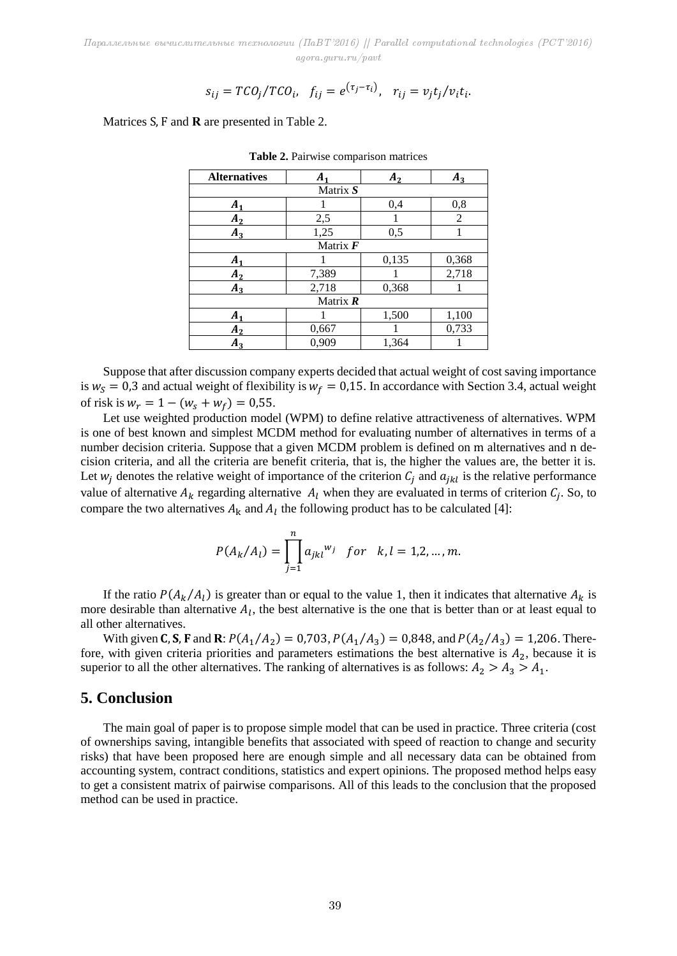Параллельные вычислительные технологии (ПаВТ'2016) || Parallel computational technologies (PCT'2016) agora.guru.ru/pavt

$$
s_{ij} = TCO_j/TCO_i, \quad f_{ij} = e^{(\tau_j - \tau_i)}, \quad r_{ij} = v_j t_j/v_i t_i.
$$

Matrices S, F and **R** are presented in Table 2.

| <b>Alternatives</b>     | $\boldsymbol{A}$ | A <sub>2</sub> | $A_3$ |  |  |
|-------------------------|------------------|----------------|-------|--|--|
| Matrix $S$              |                  |                |       |  |  |
| $\boldsymbol{A}$        |                  | 0,4            | 0,8   |  |  |
| A <sub>2</sub>          | 2,5              |                | 2     |  |  |
| $A_3$                   | 1,25             | 0,5            |       |  |  |
| Matrix $F$              |                  |                |       |  |  |
| $\boldsymbol{A}$        |                  | 0,135          | 0,368 |  |  |
| A <sub>2</sub>          | 7,389            |                | 2,718 |  |  |
| $A_3$                   | 2,718            | 0,368          |       |  |  |
| Matrix $\boldsymbol{R}$ |                  |                |       |  |  |
| $\boldsymbol{A}$        |                  | 1,500          | 1,100 |  |  |
| A <sub>2</sub>          | 0,667            |                | 0,733 |  |  |
| $A_3$                   | 0,909            | 1,364          |       |  |  |

**Table 2.** Pairwise comparison matrices

Suppose that after discussion company experts decided that actual weight of cost saving importance is  $w_s = 0.3$  and actual weight of flexibility is  $w_f = 0.15$ . In accordance with Section 3.4, actual weight of risk is  $w_r = 1 - (w_s + w_f) = 0.55$ .

Let use weighted production model (WPM) to define relative attractiveness of alternatives. WPM is one of best known and simplest MCDM method for evaluating number of alternatives in terms of a number decision criteria. Suppose that a given MCDM problem is defined on m alternatives and n decision criteria, and all the criteria are benefit criteria, that is, the higher the values are, the better it is. Let  $w_i$  denotes the relative weight of importance of the criterion  $C_i$  and  $a_{ikl}$  is the relative performance value of alternative  $A_k$  regarding alternative  $A_l$  when they are evaluated in terms of criterion  $C_j$ . So, to compare the two alternatives  $A_k$  and  $A_l$  the following product has to be calculated [4]:

$$
P(A_k/A_l) = \prod_{j=1}^n a_{jkl}^{w_j} \text{ for } k, l = 1, 2, ..., m.
$$

If the ratio  $P(A_k/A_l)$  is greater than or equal to the value 1, then it indicates that alternative  $A_k$  is more desirable than alternative  $A_l$ , the best alternative is the one that is better than or at least equal to all other alternatives.

With given **C**, **S**, **F** and **R**:  $P(A_1/A_2) = 0.703$ ,  $P(A_1/A_3) = 0.848$ , and  $P(A_2/A_3) = 1.206$ . Therefore, with given criteria priorities and parameters estimations the best alternative is  $A_2$ , because it is superior to all the other alternatives. The ranking of alternatives is as follows:  $A_2 > A_3 > A_1$ .

### **5. Conclusion**

The main goal of paper is to propose simple model that can be used in practice. Three criteria (cost of ownerships saving, intangible benefits that associated with speed of reaction to change and security risks) that have been proposed here are enough simple and all necessary data can be obtained from accounting system, contract conditions, statistics and expert opinions. The proposed method helps easy to get a consistent matrix of pairwise comparisons. All of this leads to the conclusion that the proposed method can be used in practice.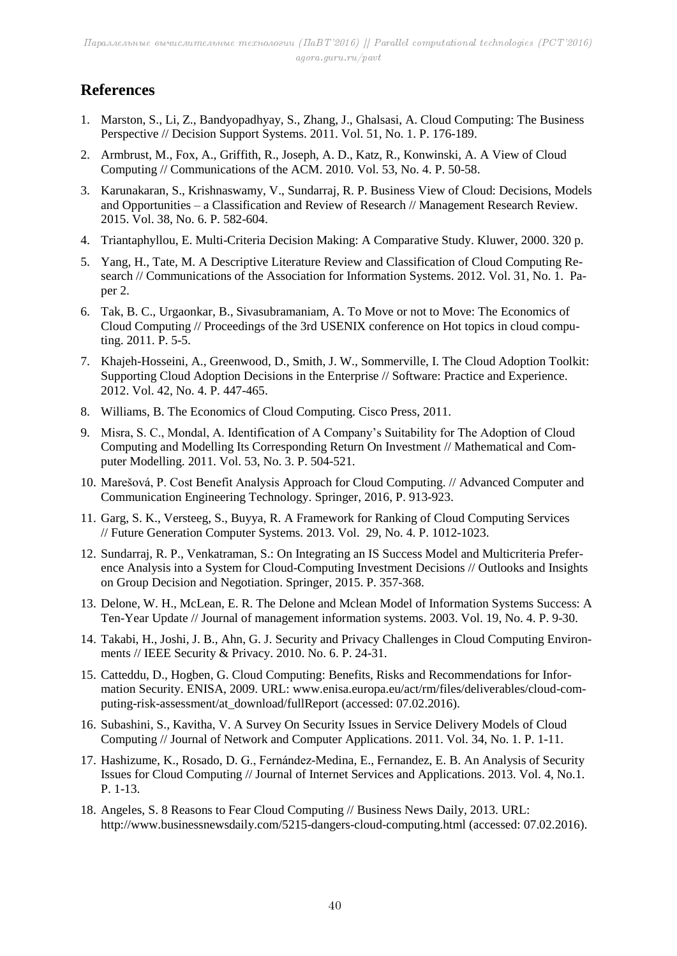# **References**

- 1. Marston, S., Li, Z., Bandyopadhyay, S., Zhang, J., Ghalsasi, A. Cloud Computing: The Business Perspective // Decision Support Systems. 2011. Vol. 51, No. 1. P. 176-189.
- 2. Armbrust, M., Fox, A., Griffith, R., Joseph, A. D., Katz, R., Konwinski, A. A View of Cloud Computing // Communications of the ACM. 2010. Vol. 53, No. 4. P. 50-58.
- 3. Karunakaran, S., Krishnaswamy, V., Sundarraj, R. P. Business View of Cloud: Decisions, Models and Opportunities – a Classification and Review of Research // Management Research Review. 2015. Vol. 38, No. 6. P. 582-604.
- 4. Triantaphyllou, E. Multi-Criteria Decision Making: A Comparative Study. Kluwer, 2000. 320 p.
- 5. Yang, H., Tate, M. A Descriptive Literature Review and Classification of Cloud Computing Research // Communications of the Association for Information Systems. 2012. Vol. 31, No. 1. Paper 2.
- 6. Tak, B. C., Urgaonkar, B., Sivasubramaniam, A. To Move or not to Move: The Economics of Cloud Computing // Proceedings of the 3rd USENIX conference on Hot topics in cloud computing. 2011. P. 5-5.
- 7. Khajeh-Hosseini, A., Greenwood, D., Smith, J. W., Sommerville, I. The Cloud Adoption Toolkit: Supporting Cloud Adoption Decisions in the Enterprise // Software: Practice and Experience. 2012. Vol. 42, No. 4. P. 447-465.
- 8. Williams, B. The Economics of Cloud Computing. Cisco Press, 2011.
- 9. Misra, S. C., Mondal, A. Identification of A Company's Suitability for The Adoption of Cloud Computing and Modelling Its Corresponding Return On Investment // Mathematical and Computer Modelling. 2011. Vol. 53, No. 3. P. 504-521.
- 10. Marešová, P. Cost Benefit Analysis Approach for Cloud Computing. // Advanced Computer and Communication Engineering Technology. Springer, 2016, P. 913-923.
- 11. Garg, S. K., Versteeg, S., Buyya, R. A Framework for Ranking of Cloud Computing Services // Future Generation Computer Systems. 2013. Vol. 29, No. 4. P. 1012-1023.
- 12. Sundarraj, R. P., Venkatraman, S.: On Integrating an IS Success Model and Multicriteria Preference Analysis into a System for Cloud-Computing Investment Decisions // Outlooks and Insights on Group Decision and Negotiation. Springer, 2015. P. 357-368.
- 13. Delone, W. H., McLean, E. R. The Delone and Mclean Model of Information Systems Success: A Ten-Year Update // Journal of management information systems. 2003. Vol. 19, No. 4. P. 9-30.
- 14. Takabi, H., Joshi, J. B., Ahn, G. J. Security and Privacy Challenges in Cloud Computing Environments // IEEE Security & Privacy. 2010. No. 6. P. 24-31.
- 15. Catteddu, D., Hogben, G. Cloud Computing: Benefits, Risks and Recommendations for Information Security. ENISA, 2009. URL: www.enisa.europa.eu/act/rm/files/deliverables/cloud-computing-risk-assessment/at\_download/fullReport (accessed: 07.02.2016).
- 16. Subashini, S., Kavitha, V. A Survey On Security Issues in Service Delivery Models of Cloud Computing // Journal of Network and Computer Applications. 2011. Vol. 34, No. 1. P. 1-11.
- 17. Hashizume, K., Rosado, D. G., Fernández-Medina, E., Fernandez, E. B. An Analysis of Security Issues for Cloud Computing // Journal of Internet Services and Applications. 2013. Vol. 4, No.1. P. 1-13.
- 18. Angeles, S. 8 Reasons to Fear Cloud Computing // Business News Daily, 2013. URL: http://www.businessnewsdaily.com/5215-dangers-cloud-computing.html (accessed: 07.02.2016).